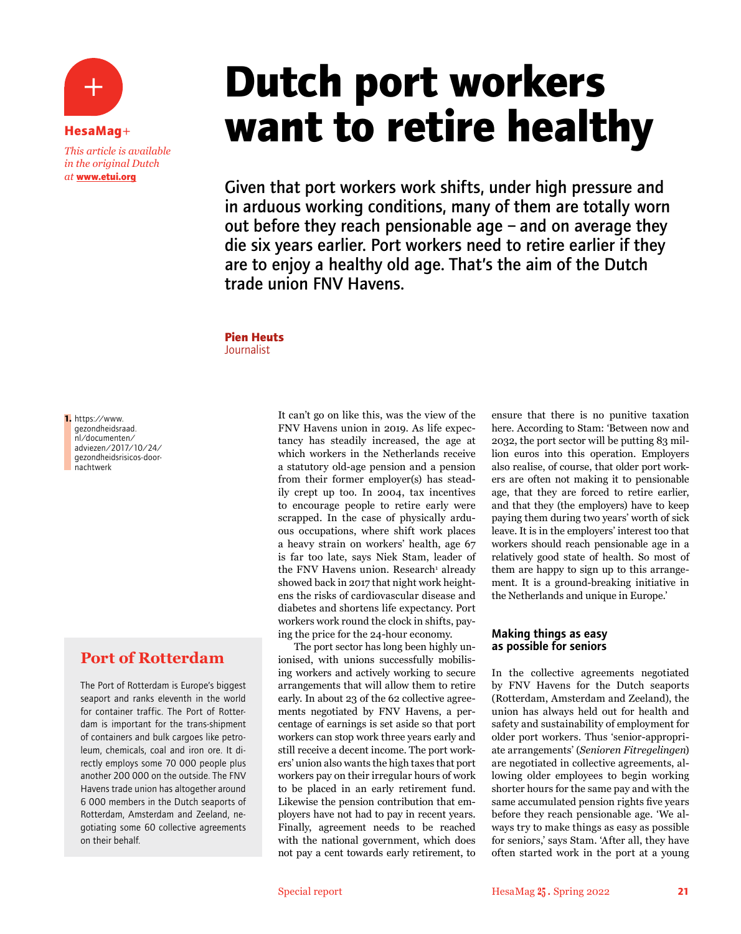**HesaMag**+ *This article is available in the original Dutch at* **www.etui.org**

# **Dutch port workers want to retire healthy**

Given that port workers work shifts, under high pressure and in arduous working conditions, many of them are totally worn out before they reach pensionable age – and on average they die six years earlier. Port workers need to retire earlier if they are to enjoy a healthy old age. That's the aim of the Dutch trade union FNV Havens.

## **Pien Heuts**

Journalist

**1.** https://www. gezondheidsraad. nl/documenten/ adviezen/2017/10/24/ gezondheidsrisicos-doornachtwerk

## **Port of Rotterdam**

The Port of Rotterdam is Europe's biggest seaport and ranks eleventh in the world for container traffic. The Port of Rotterdam is important for the trans-shipment of containers and bulk cargoes like petroleum, chemicals, coal and iron ore. It directly employs some 70 000 people plus another 200 000 on the outside. The FNV Havens trade union has altogether around 6 000 members in the Dutch seaports of Rotterdam, Amsterdam and Zeeland, negotiating some 60 collective agreements on their behalf.

It can't go on like this, was the view of the FNV Havens union in 2019. As life expectancy has steadily increased, the age at which workers in the Netherlands receive a statutory old-age pension and a pension from their former employer(s) has steadily crept up too. In 2004, tax incentives to encourage people to retire early were scrapped. In the case of physically arduous occupations, where shift work places a heavy strain on workers' health, age 67 is far too late, says Niek Stam, leader of the FNV Havens union. Research<sup>1</sup> already showed back in 2017 that night work heightens the risks of cardiovascular disease and diabetes and shortens life expectancy. Port workers work round the clock in shifts, paying the price for the 24-hour economy.

The port sector has long been highly unionised, with unions successfully mobilising workers and actively working to secure arrangements that will allow them to retire early. In about 23 of the 62 collective agreements negotiated by FNV Havens, a percentage of earnings is set aside so that port workers can stop work three years early and still receive a decent income. The port workers' union also wants the high taxes that port workers pay on their irregular hours of work to be placed in an early retirement fund. Likewise the pension contribution that employers have not had to pay in recent years. Finally, agreement needs to be reached with the national government, which does not pay a cent towards early retirement, to

ensure that there is no punitive taxation here. According to Stam: 'Between now and 2032, the port sector will be putting 83 million euros into this operation. Employers also realise, of course, that older port workers are often not making it to pensionable age, that they are forced to retire earlier, and that they (the employers) have to keep paying them during two years' worth of sick leave. It is in the employers' interest too that workers should reach pensionable age in a relatively good state of health. So most of them are happy to sign up to this arrangement. It is a ground-breaking initiative in the Netherlands and unique in Europe.'

#### Making things as easy as possible for seniors

In the collective agreements negotiated by FNV Havens for the Dutch seaports (Rotterdam, Amsterdam and Zeeland), the union has always held out for health and safety and sustainability of employment for older port workers. Thus 'senior-appropriate arrangements' (*Senioren Fitregelingen*) are negotiated in collective agreements, allowing older employees to begin working shorter hours for the same pay and with the same accumulated pension rights five years before they reach pensionable age. 'We always try to make things as easy as possible for seniors,' says Stam. 'After all, they have often started work in the port at a young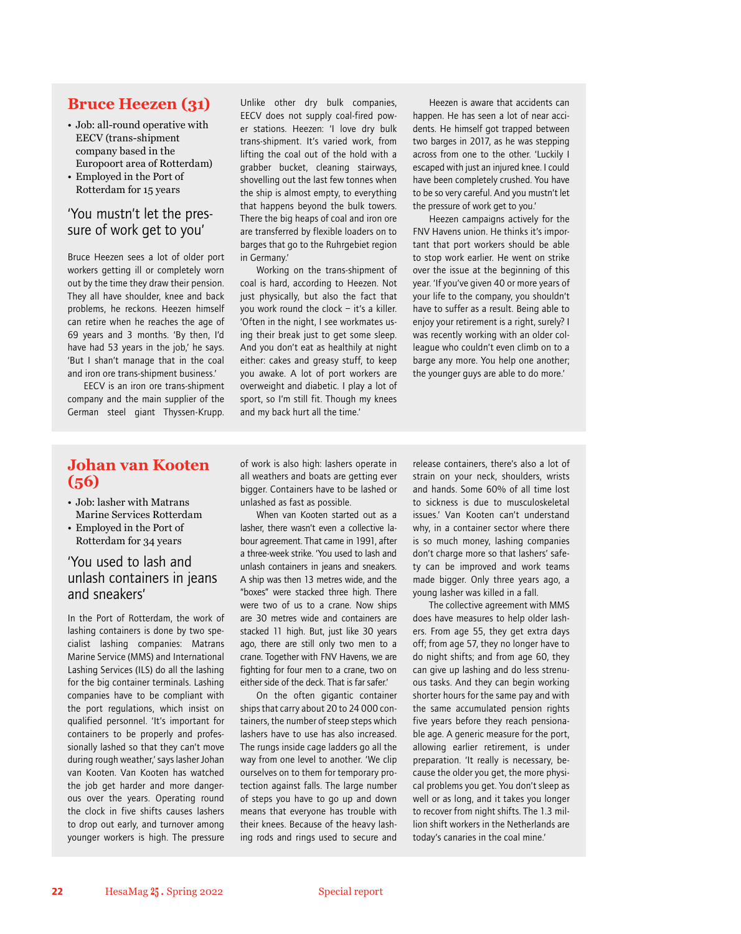#### **Bruce Heezen (31)**

- Job: all-round operative with EECV (trans-shipment company based in the Europoort area of Rotterdam)
- Employed in the Port of Rotterdam for 15 years

#### 'You mustn't let the pressure of work get to you'

Bruce Heezen sees a lot of older port workers getting ill or completely worn out by the time they draw their pension. They all have shoulder, knee and back problems, he reckons. Heezen himself can retire when he reaches the age of 69 years and 3 months. 'By then, I'd have had 53 years in the job,' he says. 'But I shan't manage that in the coal and iron ore trans-shipment business.'

EECV is an iron ore trans-shipment company and the main supplier of the German steel giant Thyssen-Krupp.

Unlike other dry bulk companies, EECV does not supply coal-fired power stations. Heezen: 'I love dry bulk trans-shipment. It's varied work, from lifting the coal out of the hold with a grabber bucket, cleaning stairways, shovelling out the last few tonnes when the ship is almost empty, to everything that happens beyond the bulk towers. There the big heaps of coal and iron ore are transferred by flexible loaders on to barges that go to the Ruhrgebiet region in Germany.'

Working on the trans-shipment of coal is hard, according to Heezen. Not just physically, but also the fact that you work round the clock – it's a killer. 'Often in the night, I see workmates using their break just to get some sleep. And you don't eat as healthily at night either: cakes and greasy stuff, to keep you awake. A lot of port workers are overweight and diabetic. I play a lot of sport, so I'm still fit. Though my knees and my back hurt all the time.'

Heezen is aware that accidents can happen. He has seen a lot of near accidents. He himself got trapped between two barges in 2017, as he was stepping across from one to the other. 'Luckily I escaped with just an injured knee. I could have been completely crushed. You have to be so very careful. And you mustn't let the pressure of work get to you.'

Heezen campaigns actively for the FNV Havens union. He thinks it's important that port workers should be able to stop work earlier. He went on strike over the issue at the beginning of this year. 'If you've given 40 or more years of your life to the company, you shouldn't have to suffer as a result. Being able to enjoy your retirement is a right, surely? I was recently working with an older colleague who couldn't even climb on to a barge any more. You help one another; the younger guys are able to do more.'

## **Johan van Kooten (56)**

- Job: lasher with Matrans Marine Services Rotterdam • Employed in the Port of
- Rotterdam for 34 years

#### 'You used to lash and unlash containers in jeans and sneakers'

In the Port of Rotterdam, the work of lashing containers is done by two specialist lashing companies: Matrans Marine Service (MMS) and International Lashing Services (ILS) do all the lashing for the big container terminals. Lashing companies have to be compliant with the port regulations, which insist on qualified personnel. 'It's important for containers to be properly and professionally lashed so that they can't move during rough weather,' says lasher Johan van Kooten. Van Kooten has watched the job get harder and more dangerous over the years. Operating round the clock in five shifts causes lashers to drop out early, and turnover among younger workers is high. The pressure

of work is also high: lashers operate in all weathers and boats are getting ever bigger. Containers have to be lashed or unlashed as fast as possible.

When van Kooten started out as a lasher, there wasn't even a collective labour agreement. That came in 1991, after a three-week strike. 'You used to lash and unlash containers in jeans and sneakers. A ship was then 13 metres wide, and the "boxes" were stacked three high. There were two of us to a crane. Now ships are 30 metres wide and containers are stacked 11 high. But, just like 30 years ago, there are still only two men to a crane. Together with FNV Havens, we are fighting for four men to a crane, two on either side of the deck. That is far safer.'

On the often gigantic container ships that carry about 20 to 24 000 containers, the number of steep steps which lashers have to use has also increased. The rungs inside cage ladders go all the way from one level to another. 'We clip ourselves on to them for temporary protection against falls. The large number of steps you have to go up and down means that everyone has trouble with their knees. Because of the heavy lashing rods and rings used to secure and

release containers, there's also a lot of strain on your neck, shoulders, wrists and hands. Some 60% of all time lost to sickness is due to musculoskeletal issues.' Van Kooten can't understand why, in a container sector where there is so much money, lashing companies don't charge more so that lashers' safety can be improved and work teams made bigger. Only three years ago, a young lasher was killed in a fall.

The collective agreement with MMS does have measures to help older lashers. From age 55, they get extra days off; from age 57, they no longer have to do night shifts; and from age 60, they can give up lashing and do less strenuous tasks. And they can begin working shorter hours for the same pay and with the same accumulated pension rights five years before they reach pensionable age. A generic measure for the port, allowing earlier retirement, is under preparation. 'It really is necessary, because the older you get, the more physical problems you get. You don't sleep as well or as long, and it takes you longer to recover from night shifts. The 1.3 million shift workers in the Netherlands are today's canaries in the coal mine.'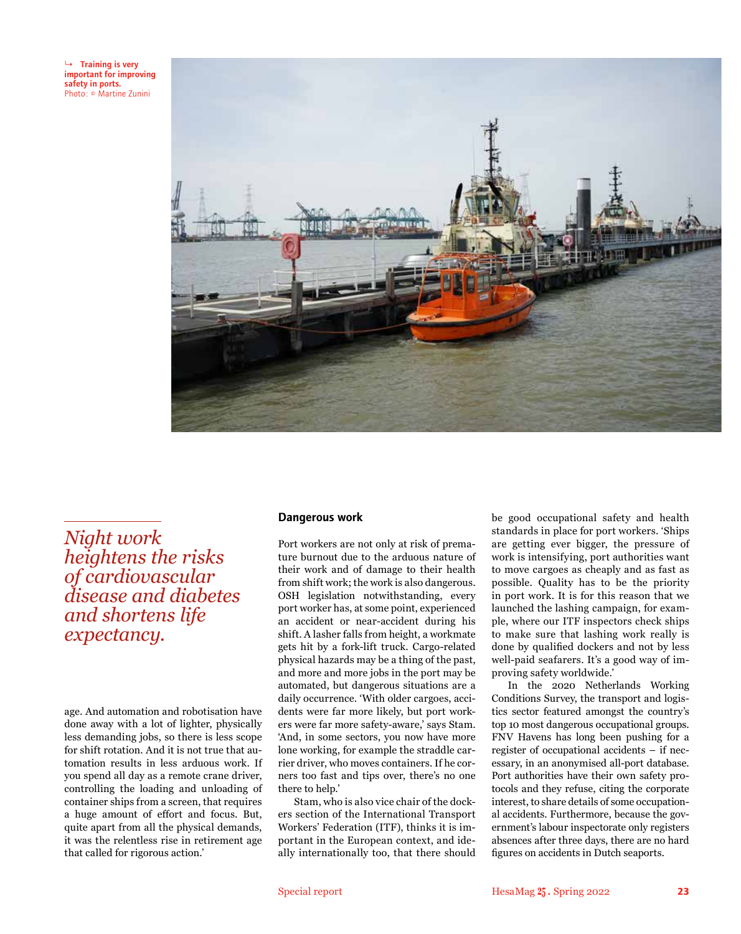

*Night work heightens the risks of cardiovascular disease and diabetes and shortens life expectancy.*

age. And automation and robotisation have done away with a lot of lighter, physically less demanding jobs, so there is less scope for shift rotation. And it is not true that automation results in less arduous work. If you spend all day as a remote crane driver, controlling the loading and unloading of container ships from a screen, that requires a huge amount of effort and focus. But, quite apart from all the physical demands, it was the relentless rise in retirement age that called for rigorous action.'

#### Dangerous work

Port workers are not only at risk of premature burnout due to the arduous nature of their work and of damage to their health from shift work; the work is also dangerous. OSH legislation notwithstanding, every port worker has, at some point, experienced an accident or near-accident during his shift. A lasher falls from height, a workmate gets hit by a fork-lift truck. Cargo-related physical hazards may be a thing of the past, and more and more jobs in the port may be automated, but dangerous situations are a daily occurrence. 'With older cargoes, accidents were far more likely, but port workers were far more safety-aware,' says Stam. 'And, in some sectors, you now have more lone working, for example the straddle carrier driver, who moves containers. If he corners too fast and tips over, there's no one there to help.'

Stam, who is also vice chair of the dockers section of the International Transport Workers' Federation (ITF), thinks it is important in the European context, and ideally internationally too, that there should

be good occupational safety and health standards in place for port workers. 'Ships are getting ever bigger, the pressure of work is intensifying, port authorities want to move cargoes as cheaply and as fast as possible. Quality has to be the priority in port work. It is for this reason that we launched the lashing campaign, for example, where our ITF inspectors check ships to make sure that lashing work really is done by qualified dockers and not by less well-paid seafarers. It's a good way of improving safety worldwide.'

In the 2020 Netherlands Working Conditions Survey, the transport and logistics sector featured amongst the country's top 10 most dangerous occupational groups. FNV Havens has long been pushing for a register of occupational accidents – if necessary, in an anonymised all-port database. Port authorities have their own safety protocols and they refuse, citing the corporate interest, to share details of some occupational accidents. Furthermore, because the government's labour inspectorate only registers absences after three days, there are no hard figures on accidents in Dutch seaports.